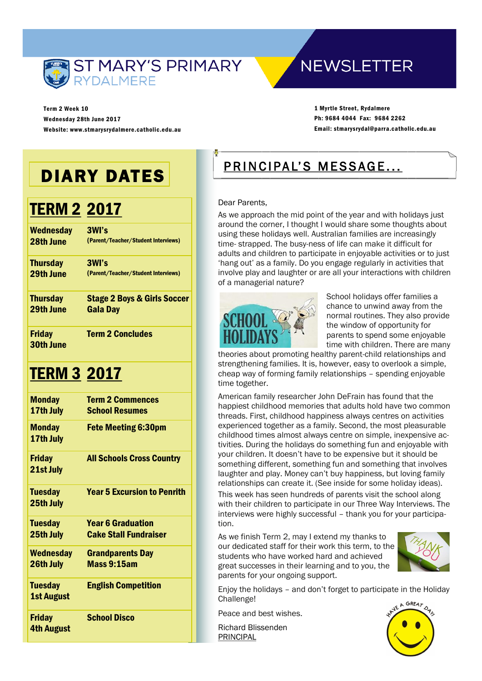

**NEWSLETTER** 

Term 2 Week 10 Wednesday 28th June 2017 Website: www.stmarysrydalmere.catholic.edu.au

1 Myrtle Street, Rydalmere Ph: 9684 4044 Fax: 9684 2262 Email: stmarysrydal@parra.catholic.edu.au

# DIARY DATES

## TERM 2 2017

| <b>Wednesday</b>                  | 3WI's                                  |
|-----------------------------------|----------------------------------------|
| 28th June                         | (Parent/Teacher/Student Interviews)    |
| <b>Thursday</b>                   | 3WI's                                  |
| 29th June                         | (Parent/Teacher/Student Interviews)    |
| <b>Thursday</b>                   | <b>Stage 2 Boys &amp; Girls Soccer</b> |
| 29th June                         | <b>Gala Day</b>                        |
| <b>Friday</b><br><b>30th June</b> | <b>Term 2 Concludes</b>                |

### TERM 3 2017

| <b>Monday</b><br>17th July         | <b>Term 2 Commences</b><br><b>School Resumes</b>         |
|------------------------------------|----------------------------------------------------------|
| <b>Monday</b><br>17th July         | <b>Fete Meeting 6:30pm</b>                               |
| <b>Friday</b><br>21st July         | <b>All Schools Cross Country</b>                         |
| <b>Tuesday</b><br>25th July        | <b>Year 5 Excursion to Penrith</b>                       |
| <b>Tuesday</b><br>25th July        | <b>Year 6 Graduation</b><br><b>Cake Stall Fundraiser</b> |
| <b>Wednesday</b><br>26th July      | <b>Grandparents Day</b><br><b>Mass 9:15am</b>            |
| <b>Tuesday</b><br>1st August       | <b>English Competition</b>                               |
| <b>Friday</b><br><b>4th August</b> | <b>School Disco</b>                                      |

### PRINCIPAL'S MESSAGE...

#### Dear Parents,

As we approach the mid point of the year and with holidays just around the corner, I thought I would share some thoughts about using these holidays well. Australian families are increasingly time- strapped. The busy-ness of life can make it difficult for adults and children to participate in enjoyable activities or to just 'hang out' as a family. Do you engage regularly in activities that involve play and laughter or are all your interactions with children of a managerial nature?



 School holidays offer families a chance to unwind away from the normal routines. They also provide the window of opportunity for parents to spend some enjoyable time with children. There are many

theories about promoting healthy parent-child relationships and strengthening families. It is, however, easy to overlook a simple, cheap way of forming family relationships – spending enjoyable time together.

American family researcher John DeFrain has found that the happiest childhood memories that adults hold have two common threads. First, childhood happiness always centres on activities experienced together as a family. Second, the most pleasurable childhood times almost always centre on simple, inexpensive activities. During the holidays do something fun and enjoyable with your children. It doesn't have to be expensive but it should be something different, something fun and something that involves laughter and play. Money can't buy happiness, but loving family relationships can create it. (See inside for some holiday ideas). This week has seen hundreds of parents visit the school along with their children to participate in our Three Way Interviews. The interviews were highly successful – thank you for your participation.

As we finish Term 2, may I extend my thanks to our dedicated staff for their work this term, to the students who have worked hard and achieved great successes in their learning and to you, the parents for your ongoing support.



Enjoy the holidays – and don't forget to participate in the Holiday Challenge!

Peace and best wishes.

Richard Blissenden PRINCIPAL

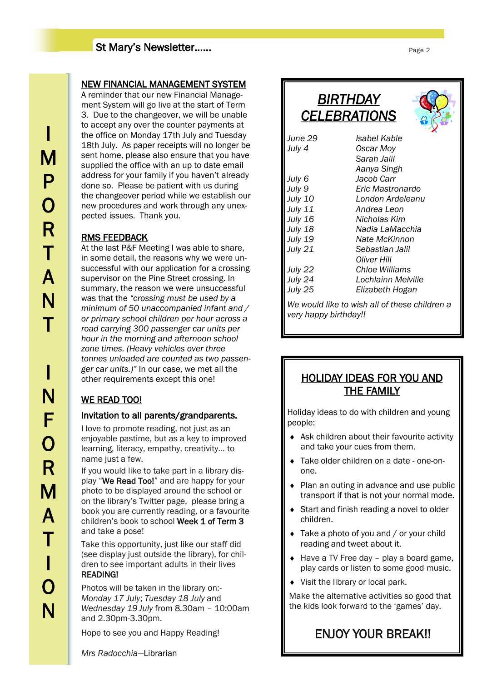### St Mary's Newsletter……

#### NEW FINANCIAL MANAGEMENT SYSTEM

A reminder that our new Financial Management System will go live at the start of Term 3. Due to the changeover, we will be unable to accept any over the counter payments at the office on Monday 17th July and Tuesday 18th July. As paper receipts will no longer be sent home, please also ensure that you have supplied the office with an up to date email address for your family if you haven't already done so. Please be patient with us during the changeover period while we establish our new procedures and work through any unexpected issues. Thank you.

#### RMS FEEDBACK

At the last P&F Meeting I was able to share, in some detail, the reasons why we were unsuccessful with our application for a crossing supervisor on the Pine Street crossing. In summary, the reason we were unsuccessful was that the *"crossing must be used by a minimum of 50 unaccompanied infant and / or primary school children per hour across a road carrying 300 passenger car units per hour in the morning and afternoon school zone times. (Heavy vehicles over three tonnes unloaded are counted as two passenger car units.)"* In our case, we met all the other requirements except this one!

#### WE READ TOO!

#### Invitation to all parents/grandparents.

I love to promote reading, not just as an enjoyable pastime, but as a key to improved learning, literacy, empathy, creativity… to name just a few.

If you would like to take part in a library display "We Read Too!" and are happy for your photo to be displayed around the school or on the library's Twitter page, please bring a book you are currently reading, or a favourite children's book to school Week 1 of Term 3 and take a pose!

Take this opportunity, just like our staff did (see display just outside the library), for children to see important adults in their lives READING!

 Photos will be taken in the library on:- *Monday 17 July*; *Tuesday 18 July* and *Wednesday 19 July* from 8.30am – 10:00am and 2.30pm-3.30pm.

Hope to see you and Happy Reading!

*Mrs Radocchia*—Librarian

| <i>BIRTHDAY</i><br><b>CELEBRATIONS</b> |                                          |  |
|----------------------------------------|------------------------------------------|--|
| June 29<br>July $4$                    | Isabel Kable<br>Oscar Moy<br>Sarah Jalil |  |

|                | Aanya Singh                                   |
|----------------|-----------------------------------------------|
| July 6         | Jacob Carr                                    |
| July 9         | Eric Mastronardo                              |
| <b>July 10</b> | London Ardeleanu                              |
| <b>July 11</b> | Andrea Leon                                   |
| <b>July 16</b> | Nicholas Kim                                  |
| July 18        | Nadia LaMacchia                               |
| <b>July 19</b> | Nate McKinnon                                 |
| <b>July 21</b> | Sebastian Jalil                               |
|                | Oliver Hill                                   |
| July 22        | Chloe Williams                                |
| July 24        | Lochlainn Melville                            |
| July 25        | Elizabeth Hogan                               |
|                | We would like to wish all of these children a |

*very happy birthday!!*

### HOLIDAY IDEAS FOR YOU AND THE FAMILY

Holiday ideas to do with children and young people:

- ◆ Ask children about their favourite activity and take your cues from them.
- Take older children on a date one-onone.
- ◆ Plan an outing in advance and use public transport if that is not your normal mode.
- ◆ Start and finish reading a novel to older children.
- ◆ Take a photo of you and / or your child reading and tweet about it.
- $\triangleleft$  Have a TV Free day play a board game, play cards or listen to some good music.
- ◆ Visit the library or local park.

Make the alternative activities so good that the kids look forward to the 'games' day.

ENJOY YOUR BREAK!!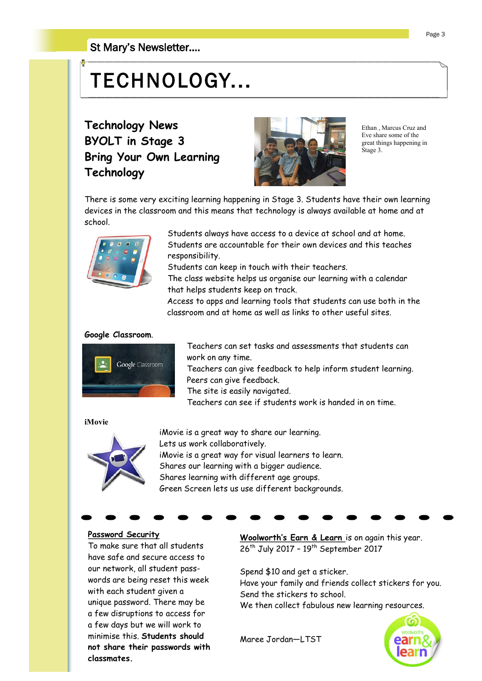#### St Mary's Newsletter….

# TECHNOLOGY...

**Technology News BYOLT in Stage 3 Bring Your Own Learning Technology**



Ethan Marcus Cruz and Eve share some of the great things happening in Stage 3.

There is some very exciting learning happening in Stage 3. Students have their own learning devices in the classroom and this means that technology is always available at home and at school.



 Students always have access to a device at school and at home. Students are accountable for their own devices and this teaches responsibility.

Students can keep in touch with their teachers.

 The class website helps us organise our learning with a calendar that helps students keep on track.

 Access to apps and learning tools that students can use both in the classroom and at home as well as links to other useful sites.

#### **Google Classroom**.



 Teachers can set tasks and assessments that students can work on any time.

 Teachers can give feedback to help inform student learning. Peers can give feedback.

The site is easily navigated.

Teachers can see if students work is handed in on time.

#### **iMovie**



 iMovie is a great way to share our learning. Lets us work collaboratively. iMovie is a great way for visual learners to learn. Shares our learning with a bigger audience. Shares learning with different age groups. Green Screen lets us use different backgrounds.

**Password Security** To make sure that all students have safe and secure access to our network, all student passwords are being reset this week with each student given a unique password. There may be a few disruptions to access for a few days but we will work to minimise this. **Students should not share their passwords with classmates.**

**Woolworth's Earn & Learn** is on again this year. 26<sup>th</sup> July 2017 - 19<sup>th</sup> September 2017

Spend \$10 and get a sticker.

Have your family and friends collect stickers for you. Send the stickers to school.

We then collect fabulous new learning resources.

Maree Jordan—LTST